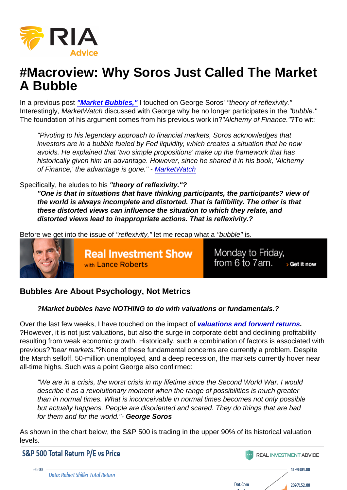# #Macroview: Why Soros Just Called The Market A Bubble

In a previous post ["Market Bubbles,"](https://realinvestmentadvice.com/market-bubbles-its-not-the-price-its-the-mentality/) I touched on George Soros' "theory of reflexivity." Interestingly, MarketWatch discussed with George why he no longer participates in the "bubble." The foundation of his argument comes from his previous work in?"Alchemy of Finance."?To wit:

"Pivoting to his legendary approach to financial markets, Soros acknowledges that investors are in a bubble fueled by Fed liquidity, which creates a situation that he now avoids. He explained that 'two simple propositions' make up the framework that has historically given him an advantage. However, since he shared it in his book, 'Alchemy of Finance,' the advantage is gone." - [MarketWatch](https://www.marketwatch.com/story/george-soros-bashes-president-trump-explains-why-he-no-longer-participates-in-this-market-bubble-2020-08-12)

#### Specifically, he eludes to his "theory of reflexivity."?

"One is that in situations that have thinking participants, the participants? view of the world is always incomplete and distorted. That is fallibility. The other is that these distorted views can influence the situation to which they relate, and distorted views lead to inappropriate actions. That is reflexivity.?

Before we get into the issue of "reflexivity," let me recap what a "bubble" is.

## Bubbles Are About Psychology, Not Metrics

?Market bubbles have NOTHING to do with valuations or fundamentals.?

Over the last few weeks, I have touched on the impact of [valuations and forward returns](https://realinvestmentadvice.com/the-next-decade-valuations-the-destiny-of-low-returns/) ?However, it is not just valuations, but also the surge in corporate debt and declining profitability resulting from weak economic growth. Historically, such a combination of factors is associated with previous?"bear markets."?None of these fundamental concerns are currently a problem. Despite the March selloff, 50-million unemployed, and a deep recession, the markets currently hover near all-time highs. Such was a point George also confirmed:

"We are in a crisis, the worst crisis in my lifetime since the Second World War. I would describe it as a revolutionary moment when the range of possibilities is much greater than in normal times. What is inconceivable in normal times becomes not only possible but actually happens. People are disoriented and scared. They do things that are bad for them and for the world."- George Soros

As shown in the chart below, the S&P 500 is trading in the upper 90% of its historical valuation levels.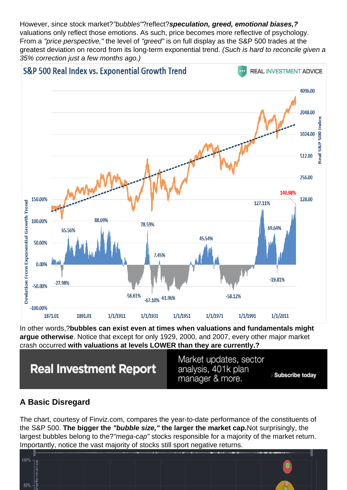However, since stock market?"bubbles"?reflect?speculation, greed, emotional biases,? valuations only reflect those emotions. As such, price becomes more reflective of psychology. From a "price perspective," the level of "greed" is on full display as the S&P 500 trades at the greatest deviation on record from its long-term exponential trend. (Such is hard to reconcile given a 35% correction just a few months ago.)

In other words,?bubbles can exist even at times when valuations and fundamentals might argue otherwise . Notice that except for only 1929, 2000, and 2007, every other major market crash occurred with valuations at levels LOWER than they are currently.?

## A Basic Disregard

The chart, courtesy of Finviz.com, compares the year-to-date performance of the constituents of the S&P 500. The bigger the "bubble size," the larger the market cap. Not surprisingly, the largest bubbles belong to the?"mega-cap" stocks responsible for a majority of the market return. Importantly, notice the vast majority of stocks still sport negative returns.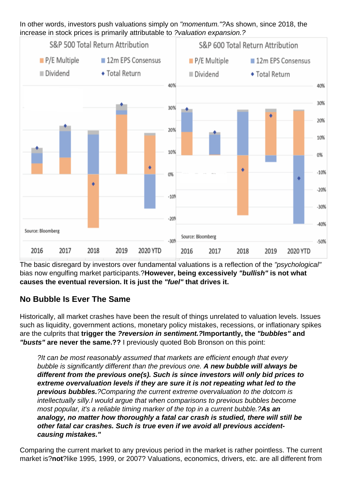In other words, investors push valuations simply on "momentum."?As shown, since 2018, the increase in stock prices is primarily attributable to ?valuation expansion.?

The basic disregard by investors over fundamental valuations is a reflection of the "psychological" bias now engulfing market participants.?However, being excessively "bullish" is not what causes the eventual reversion. It is just the "fuel" that drives it.

## No Bubble Is Ever The Same

Historically, all market crashes have been the result of things unrelated to valuation levels. Issues such as liquidity, government actions, monetary policy mistakes, recessions, or inflationary spikes are the culprits that trigger the ?reversion in sentiment.? Importantly, the "bubbles" and "busts" are never the same.?? I previously quoted Bob Bronson on this point:

?It can be most reasonably assumed that markets are efficient enough that every bubble is significantly different than the previous one. A new bubble will always be different from the previous one(s). Such is since investors will only bid prices to extreme overvaluation levels if they are sure it is not repeating what led to the previous bubbles. ?Comparing the current extreme overvaluation to the dotcom is intellectually silly.I would argue that when comparisons to previous bubbles become most popular, it's a reliable timing marker of the top in a current bubble.?As an analogy, no matter how thoroughly a fatal car crash is studied, there will still be other fatal car crashes. Such is true even if we avoid all previous accidentcausing mistakes."

Comparing the current market to any previous period in the market is rather pointless. The current market is?not ?like 1995, 1999, or 2007? Valuations, economics, drivers, etc. are all different from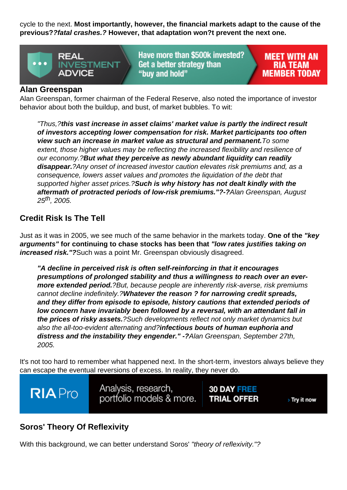cycle to the next. Most importantly, however, the financial markets adapt to the cause of the previous? ?fatal crashes.? However, that adaptation won?t prevent the next one.

#### Alan Greenspan

Alan Greenspan, former chairman of the Federal Reserve, also noted the importance of investor behavior about both the buildup, and bust, of market bubbles. To wit:

"Thus,?this vast increase in asset claims' market value is partly the indirect result of investors accepting lower compensation for risk. Market participants too often view such an increase in market value as structural and permanent. To some extent, those higher values may be reflecting the increased flexibility and resilience of our economy.?But what they perceive as newly abundant liquidity can readily disappear. ?Any onset of increased investor caution elevates risk premiums and, as a consequence, lowers asset values and promotes the liquidation of the debt that supported higher asset prices.?Such is why history has not dealt kindly with the aftermath of protracted periods of low-risk premiums."? - ? Alan Greenspan, August  $25^{th}$ , 2005.

### Credit Risk Is The Tell

Just as it was in 2005, we see much of the same behavior in the markets today. One of the "key arguments" for continuing to chase stocks has been that "low rates justifies taking on increased risk."? Such was a point Mr. Greenspan obviously disagreed.

"A decline in perceived risk is often self-reinforcing in that it encourages presumptions of prolonged stability and thus a willingness to reach over an evermore extended period. ?But, because people are inherently risk-averse, risk premiums cannot decline indefinitely.?Whatever the reason ? for narrowing credit spreads, and they differ from episode to episode, history cautions that extended periods of low concern have invariably been followed by a reversal, with an attendant fall in the prices of risky assets. ?Such developments reflect not only market dynamics but also the all-too-evident alternating and?infectious bouts of human euphoria and distress and the instability they engender." -?Alan Greenspan, September 27th, 2005.

It's not too hard to remember what happened next. In the short-term, investors always believe they can escape the eventual reversions of excess. In reality, they never do.

## Soros' Theory Of Reflexivity

With this background, we can better understand Soros' "theory of reflexivity."?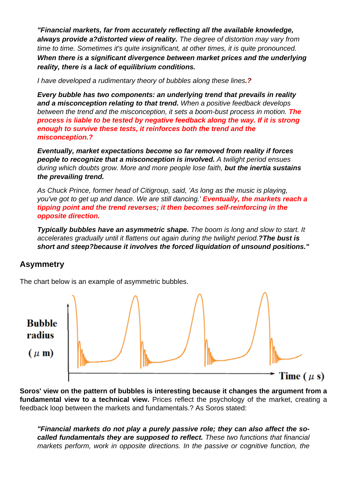"Financial markets, far from accurately reflecting all the available knowledge, always provide a?distorted view of reality. The degree of distortion may vary from time to time. Sometimes it's quite insignificant, at other times, it is quite pronounced. When there is a significant divergence between market prices and the underlying reality, there is a lack of equilibrium conditions.

I have developed a rudimentary theory of bubbles along these lines.?

Every bubble has two components: an underlying trend that prevails in reality and a misconception relating to that trend. When a positive feedback develops between the trend and the misconception, it sets a boom-bust process in motion. The process is liable to be tested by negative feedback along the way. If it is strong enough to survive these tests, it reinforces both the trend and the misconception.?

Eventually, market expectations become so far removed from reality if forces people to recognize that a misconception is involved. A twilight period ensues during which doubts grow. More and more people lose faith, but the inertia sustains the prevailing trend.

As Chuck Prince, former head of Citigroup, said, 'As long as the music is playing, you've got to get up and dance. We are still dancing.' Eventually, the markets reach a tipping point and the trend reverses; it then becomes self-reinforcing in the opposite direction.

Typically bubbles have an asymmetric shape. The boom is long and slow to start. It accelerates gradually until it flattens out again during the twilight period.?The bust is short and steep?because it involves the forced liquidation of unsound positions."

#### Asymmetry

The chart below is an example of asymmetric bubbles.

Soros' view on the pattern of bubbles is interesting because it changes the argument from a fundamental view to a technical view. Prices reflect the psychology of the market, creating a feedback loop between the markets and fundamentals.? As Soros stated:

"Financial markets do not play a purely passive role; they can also affect the socalled fundamentals they are supposed to reflect. These two functions that financial markets perform, work in opposite directions. In the passive or cognitive function, the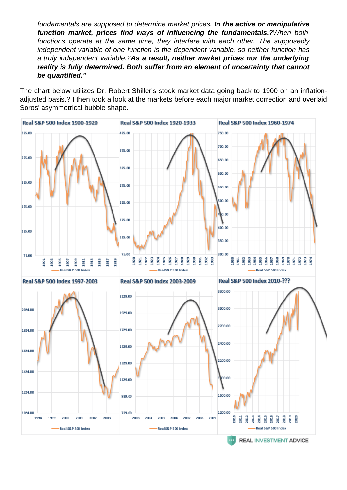fundamentals are supposed to determine market prices. In the active or manipulative function market, prices find ways of influencing the fundamentals. 2When both functions operate at the same time, they interfere with each other. The supposedly independent variable of one function is the dependent variable, so neither function has a truly independent variable.?As a result, neither market prices nor the underlying reality is fully determined. Both suffer from an element of uncertainty that cannot be quantified."

The chart below utilizes Dr. Robert Shiller's stock market data going back to 1900 on an inflationadjusted basis.? I then took a look at the markets before each major market correction and overlaid Soros' asymmetrical bubble shape.